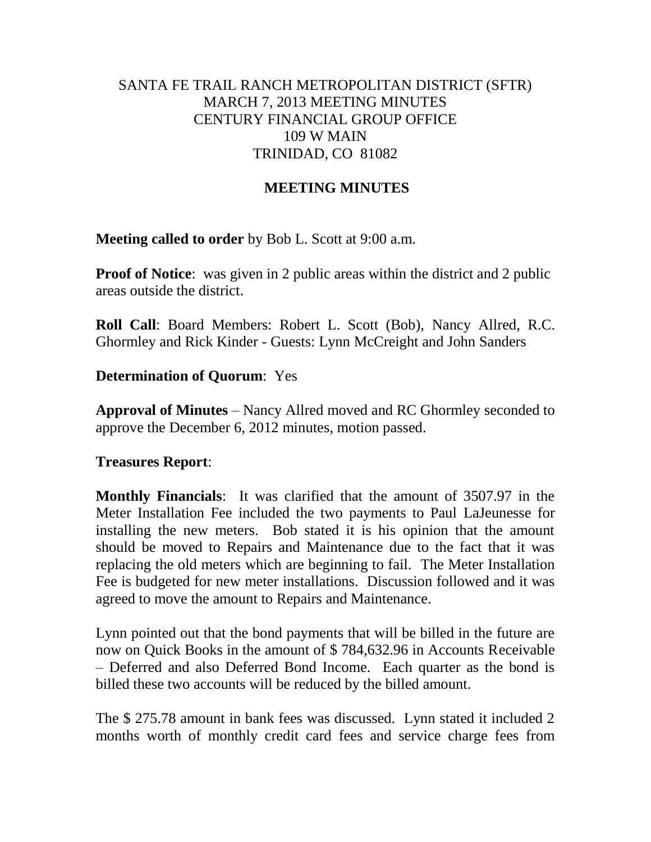# SANTA FE TRAIL RANCH METROPOLITAN DISTRICT (SFTR) MARCH 7, 2013 MEETING MINUTES CENTURY FINANCIAL GROUP OFFICE 109 W MAIN TRINIDAD, CO 81082

# **MEETING MINUTES**

**Meeting called to order** by Bob L. Scott at 9:00 a.m.

**Proof of Notice**: was given in 2 public areas within the district and 2 public areas outside the district.

**Roll Call**: Board Members: Robert L. Scott (Bob), Nancy Allred, R.C. Ghormley and Rick Kinder - Guests: Lynn McCreight and John Sanders

## **Determination of Quorum**: Yes

**Approval of Minutes** – Nancy Allred moved and RC Ghormley seconded to approve the December 6, 2012 minutes, motion passed.

#### **Treasures Report**:

**Monthly Financials**: It was clarified that the amount of 3507.97 in the Meter Installation Fee included the two payments to Paul LaJeunesse for installing the new meters. Bob stated it is his opinion that the amount should be moved to Repairs and Maintenance due to the fact that it was replacing the old meters which are beginning to fail. The Meter Installation Fee is budgeted for new meter installations. Discussion followed and it was agreed to move the amount to Repairs and Maintenance.

Lynn pointed out that the bond payments that will be billed in the future are now on Quick Books in the amount of \$ 784,632.96 in Accounts Receivable – Deferred and also Deferred Bond Income. Each quarter as the bond is billed these two accounts will be reduced by the billed amount.

The \$ 275.78 amount in bank fees was discussed. Lynn stated it included 2 months worth of monthly credit card fees and service charge fees from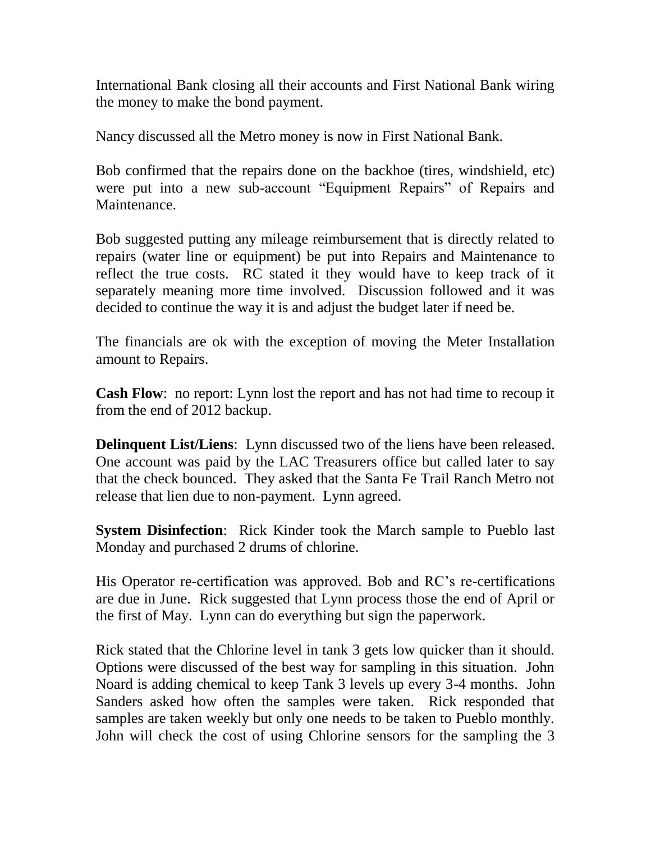International Bank closing all their accounts and First National Bank wiring the money to make the bond payment.

Nancy discussed all the Metro money is now in First National Bank.

Bob confirmed that the repairs done on the backhoe (tires, windshield, etc) were put into a new sub-account "Equipment Repairs" of Repairs and Maintenance.

Bob suggested putting any mileage reimbursement that is directly related to repairs (water line or equipment) be put into Repairs and Maintenance to reflect the true costs. RC stated it they would have to keep track of it separately meaning more time involved. Discussion followed and it was decided to continue the way it is and adjust the budget later if need be.

The financials are ok with the exception of moving the Meter Installation amount to Repairs.

**Cash Flow**: no report: Lynn lost the report and has not had time to recoup it from the end of 2012 backup.

**Delinquent List/Liens**: Lynn discussed two of the liens have been released. One account was paid by the LAC Treasurers office but called later to say that the check bounced. They asked that the Santa Fe Trail Ranch Metro not release that lien due to non-payment. Lynn agreed.

**System Disinfection**: Rick Kinder took the March sample to Pueblo last Monday and purchased 2 drums of chlorine.

His Operator re-certification was approved. Bob and RC's re-certifications are due in June. Rick suggested that Lynn process those the end of April or the first of May. Lynn can do everything but sign the paperwork.

Rick stated that the Chlorine level in tank 3 gets low quicker than it should. Options were discussed of the best way for sampling in this situation. John Noard is adding chemical to keep Tank 3 levels up every 3-4 months. John Sanders asked how often the samples were taken. Rick responded that samples are taken weekly but only one needs to be taken to Pueblo monthly. John will check the cost of using Chlorine sensors for the sampling the 3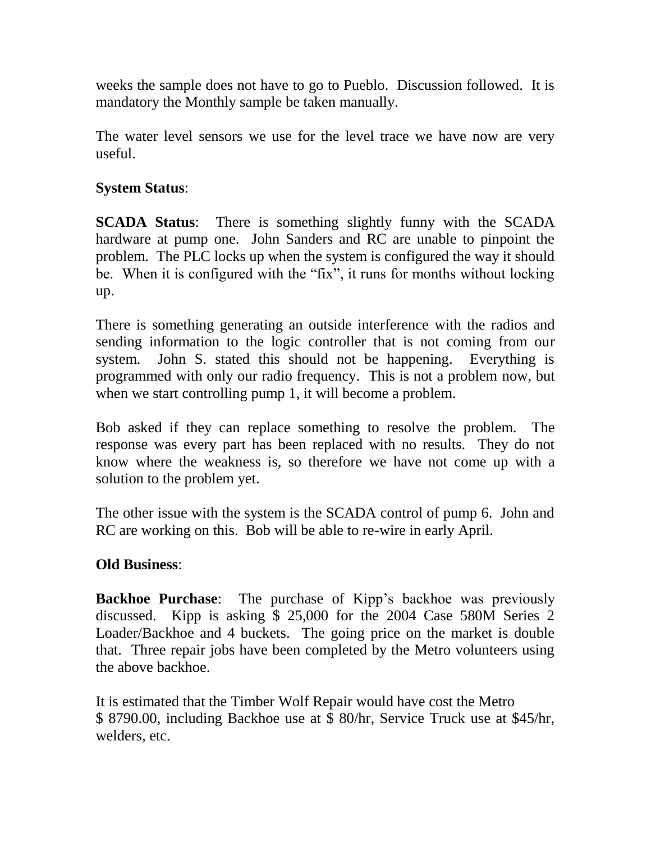weeks the sample does not have to go to Pueblo. Discussion followed. It is mandatory the Monthly sample be taken manually.

The water level sensors we use for the level trace we have now are very useful.

# **System Status**:

**SCADA Status**: There is something slightly funny with the SCADA hardware at pump one. John Sanders and RC are unable to pinpoint the problem. The PLC locks up when the system is configured the way it should be. When it is configured with the "fix", it runs for months without locking up.

There is something generating an outside interference with the radios and sending information to the logic controller that is not coming from our system. John S. stated this should not be happening. Everything is programmed with only our radio frequency. This is not a problem now, but when we start controlling pump 1, it will become a problem.

Bob asked if they can replace something to resolve the problem. The response was every part has been replaced with no results. They do not know where the weakness is, so therefore we have not come up with a solution to the problem yet.

The other issue with the system is the SCADA control of pump 6. John and RC are working on this. Bob will be able to re-wire in early April.

# **Old Business**:

**Backhoe Purchase**: The purchase of Kipp's backhoe was previously discussed. Kipp is asking \$ 25,000 for the 2004 Case 580M Series 2 Loader/Backhoe and 4 buckets. The going price on the market is double that. Three repair jobs have been completed by the Metro volunteers using the above backhoe.

It is estimated that the Timber Wolf Repair would have cost the Metro \$ 8790.00, including Backhoe use at \$ 80/hr, Service Truck use at \$45/hr, welders, etc.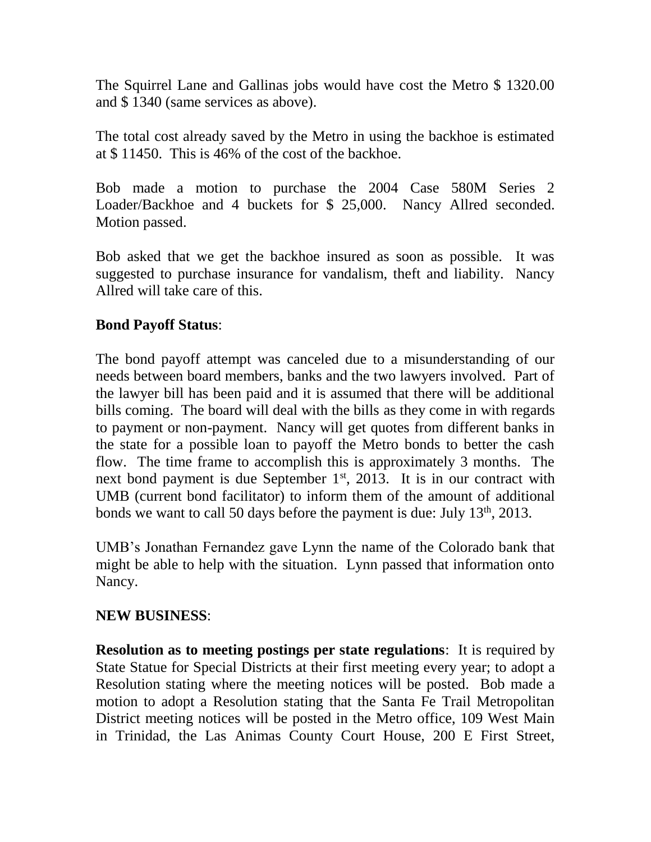The Squirrel Lane and Gallinas jobs would have cost the Metro \$ 1320.00 and \$ 1340 (same services as above).

The total cost already saved by the Metro in using the backhoe is estimated at \$ 11450. This is 46% of the cost of the backhoe.

Bob made a motion to purchase the 2004 Case 580M Series 2 Loader/Backhoe and 4 buckets for \$ 25,000. Nancy Allred seconded. Motion passed.

Bob asked that we get the backhoe insured as soon as possible. It was suggested to purchase insurance for vandalism, theft and liability. Nancy Allred will take care of this.

# **Bond Payoff Status**:

The bond payoff attempt was canceled due to a misunderstanding of our needs between board members, banks and the two lawyers involved. Part of the lawyer bill has been paid and it is assumed that there will be additional bills coming. The board will deal with the bills as they come in with regards to payment or non-payment. Nancy will get quotes from different banks in the state for a possible loan to payoff the Metro bonds to better the cash flow. The time frame to accomplish this is approximately 3 months. The next bond payment is due September  $1<sup>st</sup>$ , 2013. It is in our contract with UMB (current bond facilitator) to inform them of the amount of additional bonds we want to call 50 days before the payment is due: July 13th, 2013.

UMB's Jonathan Fernandez gave Lynn the name of the Colorado bank that might be able to help with the situation. Lynn passed that information onto Nancy.

# **NEW BUSINESS**:

**Resolution as to meeting postings per state regulations**: It is required by State Statue for Special Districts at their first meeting every year; to adopt a Resolution stating where the meeting notices will be posted. Bob made a motion to adopt a Resolution stating that the Santa Fe Trail Metropolitan District meeting notices will be posted in the Metro office, 109 West Main in Trinidad, the Las Animas County Court House, 200 E First Street,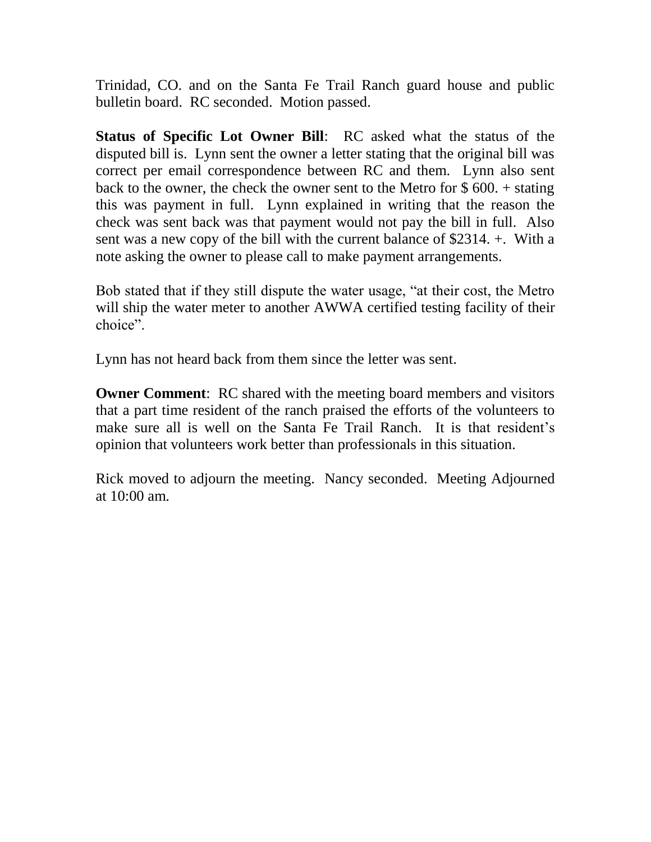Trinidad, CO. and on the Santa Fe Trail Ranch guard house and public bulletin board. RC seconded. Motion passed.

**Status of Specific Lot Owner Bill**: RC asked what the status of the disputed bill is. Lynn sent the owner a letter stating that the original bill was correct per email correspondence between RC and them. Lynn also sent back to the owner, the check the owner sent to the Metro for \$ 600. + stating this was payment in full. Lynn explained in writing that the reason the check was sent back was that payment would not pay the bill in full. Also sent was a new copy of the bill with the current balance of \$2314. +. With a note asking the owner to please call to make payment arrangements.

Bob stated that if they still dispute the water usage, "at their cost, the Metro will ship the water meter to another AWWA certified testing facility of their choice".

Lynn has not heard back from them since the letter was sent.

**Owner Comment:** RC shared with the meeting board members and visitors that a part time resident of the ranch praised the efforts of the volunteers to make sure all is well on the Santa Fe Trail Ranch. It is that resident's opinion that volunteers work better than professionals in this situation.

Rick moved to adjourn the meeting. Nancy seconded. Meeting Adjourned at 10:00 am.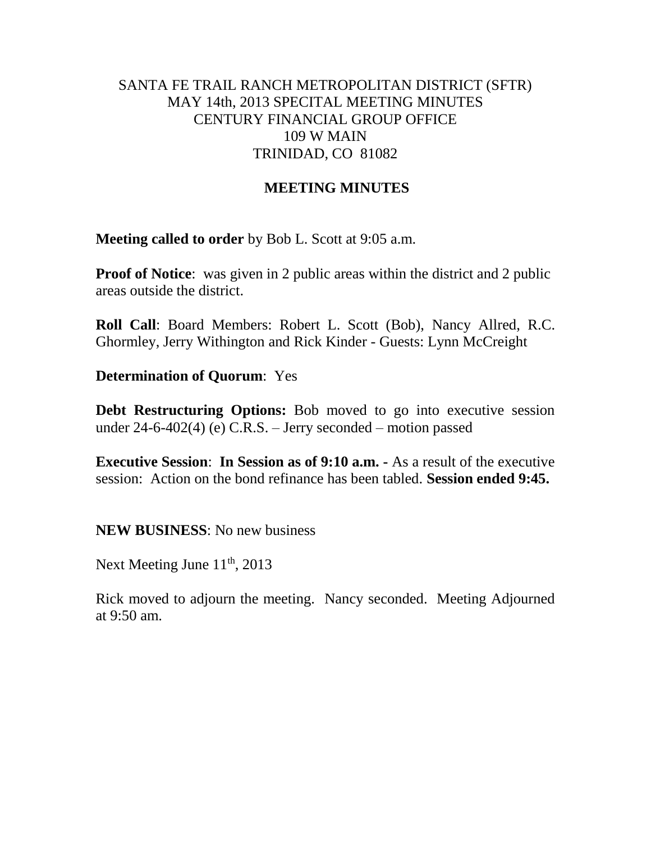# SANTA FE TRAIL RANCH METROPOLITAN DISTRICT (SFTR) MAY 14th, 2013 SPECITAL MEETING MINUTES CENTURY FINANCIAL GROUP OFFICE 109 W MAIN TRINIDAD, CO 81082

# **MEETING MINUTES**

**Meeting called to order** by Bob L. Scott at 9:05 a.m.

**Proof of Notice**: was given in 2 public areas within the district and 2 public areas outside the district.

**Roll Call**: Board Members: Robert L. Scott (Bob), Nancy Allred, R.C. Ghormley, Jerry Withington and Rick Kinder - Guests: Lynn McCreight

**Determination of Quorum**: Yes

**Debt Restructuring Options:** Bob moved to go into executive session under 24-6-402(4) (e) C.R.S. – Jerry seconded – motion passed

**Executive Session**: **In Session as of 9:10 a.m. -** As a result of the executive session: Action on the bond refinance has been tabled. **Session ended 9:45.**

**NEW BUSINESS**: No new business

Next Meeting June 11<sup>th</sup>, 2013

Rick moved to adjourn the meeting. Nancy seconded. Meeting Adjourned at 9:50 am.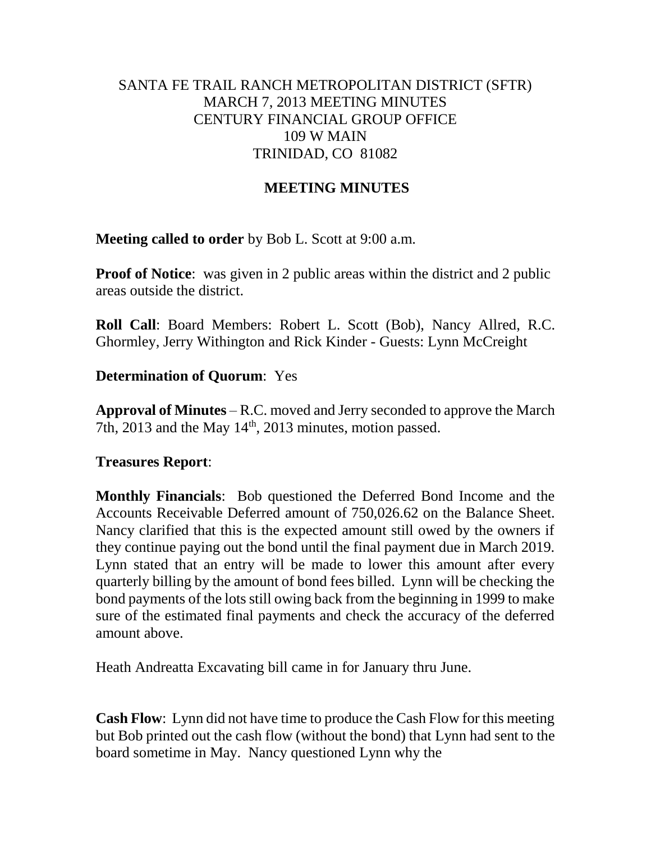# SANTA FE TRAIL RANCH METROPOLITAN DISTRICT (SFTR) MARCH 7, 2013 MEETING MINUTES CENTURY FINANCIAL GROUP OFFICE 109 W MAIN TRINIDAD, CO 81082

# **MEETING MINUTES**

**Meeting called to order** by Bob L. Scott at 9:00 a.m.

**Proof of Notice**: was given in 2 public areas within the district and 2 public areas outside the district.

**Roll Call**: Board Members: Robert L. Scott (Bob), Nancy Allred, R.C. Ghormley, Jerry Withington and Rick Kinder - Guests: Lynn McCreight

## **Determination of Quorum**: Yes

**Approval of Minutes** – R.C. moved and Jerry seconded to approve the March 7th, 2013 and the May  $14<sup>th</sup>$ , 2013 minutes, motion passed.

#### **Treasures Report**:

**Monthly Financials**: Bob questioned the Deferred Bond Income and the Accounts Receivable Deferred amount of 750,026.62 on the Balance Sheet. Nancy clarified that this is the expected amount still owed by the owners if they continue paying out the bond until the final payment due in March 2019. Lynn stated that an entry will be made to lower this amount after every quarterly billing by the amount of bond fees billed. Lynn will be checking the bond payments of the lots still owing back from the beginning in 1999 to make sure of the estimated final payments and check the accuracy of the deferred amount above.

Heath Andreatta Excavating bill came in for January thru June.

**Cash Flow**: Lynn did not have time to produce the Cash Flow for this meeting but Bob printed out the cash flow (without the bond) that Lynn had sent to the board sometime in May. Nancy questioned Lynn why the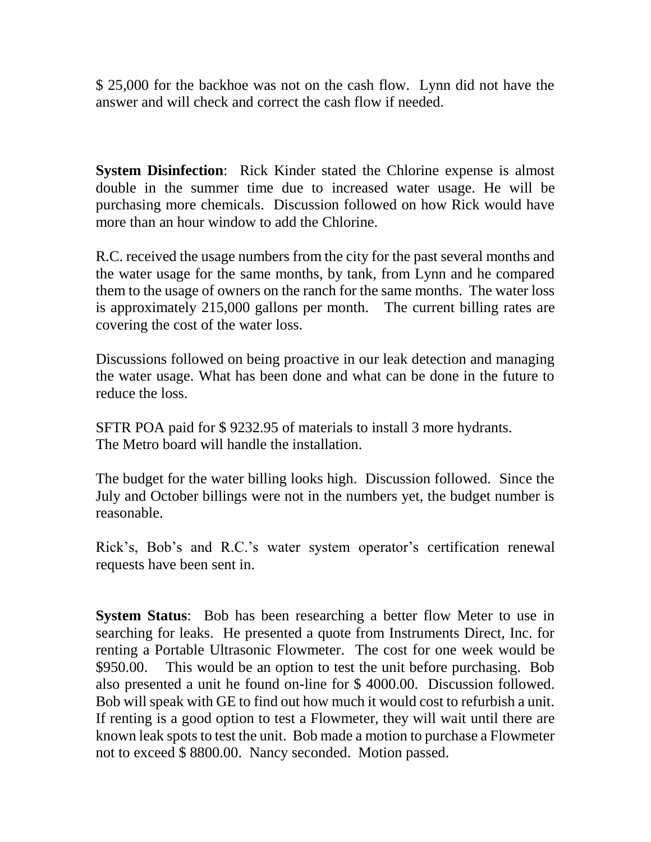\$ 25,000 for the backhoe was not on the cash flow. Lynn did not have the answer and will check and correct the cash flow if needed.

**System Disinfection**: Rick Kinder stated the Chlorine expense is almost double in the summer time due to increased water usage. He will be purchasing more chemicals. Discussion followed on how Rick would have more than an hour window to add the Chlorine.

R.C. received the usage numbers from the city for the past several months and the water usage for the same months, by tank, from Lynn and he compared them to the usage of owners on the ranch for the same months. The water loss is approximately 215,000 gallons per month. The current billing rates are covering the cost of the water loss.

Discussions followed on being proactive in our leak detection and managing the water usage. What has been done and what can be done in the future to reduce the loss.

SFTR POA paid for \$ 9232.95 of materials to install 3 more hydrants. The Metro board will handle the installation.

The budget for the water billing looks high. Discussion followed. Since the July and October billings were not in the numbers yet, the budget number is reasonable.

Rick's, Bob's and R.C.'s water system operator's certification renewal requests have been sent in.

**System Status**: Bob has been researching a better flow Meter to use in searching for leaks. He presented a quote from Instruments Direct, Inc. for renting a Portable Ultrasonic Flowmeter. The cost for one week would be \$950.00. This would be an option to test the unit before purchasing. Bob also presented a unit he found on-line for \$ 4000.00. Discussion followed. Bob will speak with GE to find out how much it would cost to refurbish a unit. If renting is a good option to test a Flowmeter, they will wait until there are known leak spots to test the unit. Bob made a motion to purchase a Flowmeter not to exceed \$ 8800.00. Nancy seconded. Motion passed.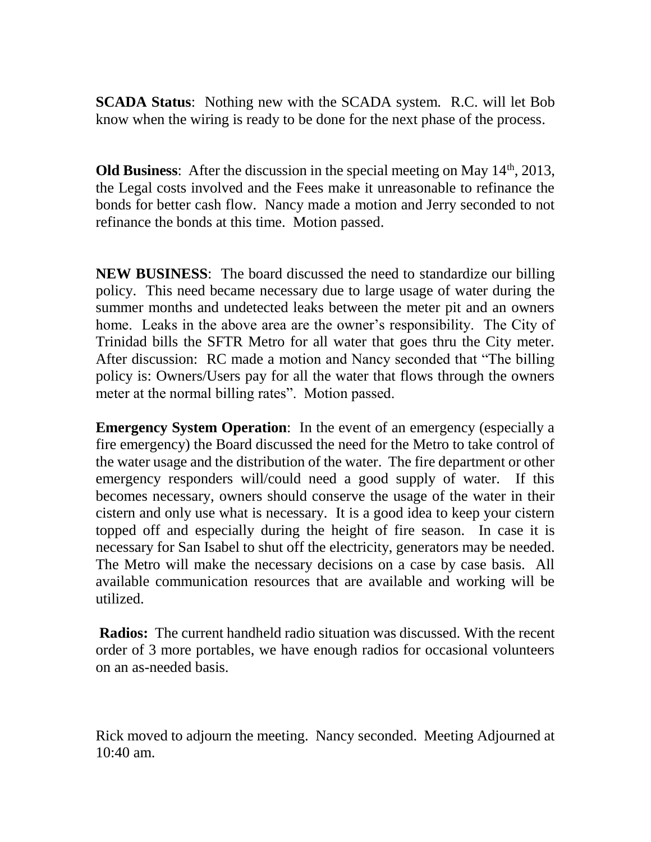**SCADA Status**: Nothing new with the SCADA system. R.C. will let Bob know when the wiring is ready to be done for the next phase of the process.

**Old Business**: After the discussion in the special meeting on May 14<sup>th</sup>, 2013, the Legal costs involved and the Fees make it unreasonable to refinance the bonds for better cash flow. Nancy made a motion and Jerry seconded to not refinance the bonds at this time. Motion passed.

**NEW BUSINESS**: The board discussed the need to standardize our billing policy. This need became necessary due to large usage of water during the summer months and undetected leaks between the meter pit and an owners home. Leaks in the above area are the owner's responsibility. The City of Trinidad bills the SFTR Metro for all water that goes thru the City meter. After discussion: RC made a motion and Nancy seconded that "The billing policy is: Owners/Users pay for all the water that flows through the owners meter at the normal billing rates". Motion passed.

**Emergency System Operation:** In the event of an emergency (especially a fire emergency) the Board discussed the need for the Metro to take control of the water usage and the distribution of the water. The fire department or other emergency responders will/could need a good supply of water. If this becomes necessary, owners should conserve the usage of the water in their cistern and only use what is necessary. It is a good idea to keep your cistern topped off and especially during the height of fire season. In case it is necessary for San Isabel to shut off the electricity, generators may be needed. The Metro will make the necessary decisions on a case by case basis. All available communication resources that are available and working will be utilized.

**Radios:** The current handheld radio situation was discussed. With the recent order of 3 more portables, we have enough radios for occasional volunteers on an as-needed basis.

Rick moved to adjourn the meeting. Nancy seconded. Meeting Adjourned at 10:40 am.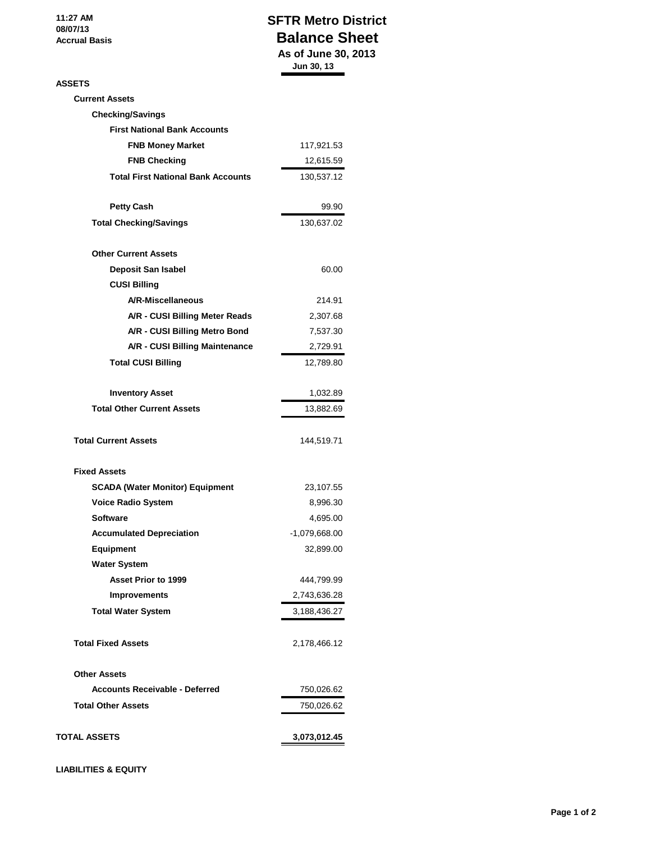**11:27 AM 08/07/13 Accrual Basis**

#### **SFTR Metro District Balance Sheet As of June 30, 2013 Jun 30, 13**

#### **ASSETS**

| ASSETS                                    |                 |
|-------------------------------------------|-----------------|
| <b>Current Assets</b>                     |                 |
| <b>Checking/Savings</b>                   |                 |
| <b>First National Bank Accounts</b>       |                 |
| <b>FNB Money Market</b>                   | 117,921.53      |
| <b>FNB Checking</b>                       | 12,615.59       |
| <b>Total First National Bank Accounts</b> | 130,537.12      |
| <b>Petty Cash</b>                         | 99.90           |
| <b>Total Checking/Savings</b>             | 130,637.02      |
| <b>Other Current Assets</b>               |                 |
| <b>Deposit San Isabel</b>                 | 60.00           |
| <b>CUSI Billing</b>                       |                 |
| A/R-Miscellaneous                         | 214.91          |
| A/R - CUSI Billing Meter Reads            | 2,307.68        |
| A/R - CUSI Billing Metro Bond             | 7,537.30        |
| A/R - CUSI Billing Maintenance            | 2,729.91        |
| <b>Total CUSI Billing</b>                 | 12,789.80       |
| <b>Inventory Asset</b>                    | 1,032.89        |
| <b>Total Other Current Assets</b>         | 13,882.69       |
| <b>Total Current Assets</b>               | 144,519.71      |
| <b>Fixed Assets</b>                       |                 |
| <b>SCADA (Water Monitor) Equipment</b>    | 23,107.55       |
| <b>Voice Radio System</b>                 | 8,996.30        |
| <b>Software</b>                           | 4,695.00        |
| <b>Accumulated Depreciation</b>           | $-1,079,668.00$ |
| Equipment                                 | 32,899.00       |
| <b>Water System</b>                       |                 |
| <b>Asset Prior to 1999</b>                | 444,799.99      |
| <b>Improvements</b>                       | 2,743,636.28    |
| <b>Total Water System</b>                 | 3,188,436.27    |
| <b>Total Fixed Assets</b>                 | 2,178,466.12    |
| <b>Other Assets</b>                       |                 |
| <b>Accounts Receivable - Deferred</b>     | 750,026.62      |
| <b>Total Other Assets</b>                 | 750,026.62      |
| TOTAL ASSETS                              | 3,073,012.45    |

**LIABILITIES & EQUITY**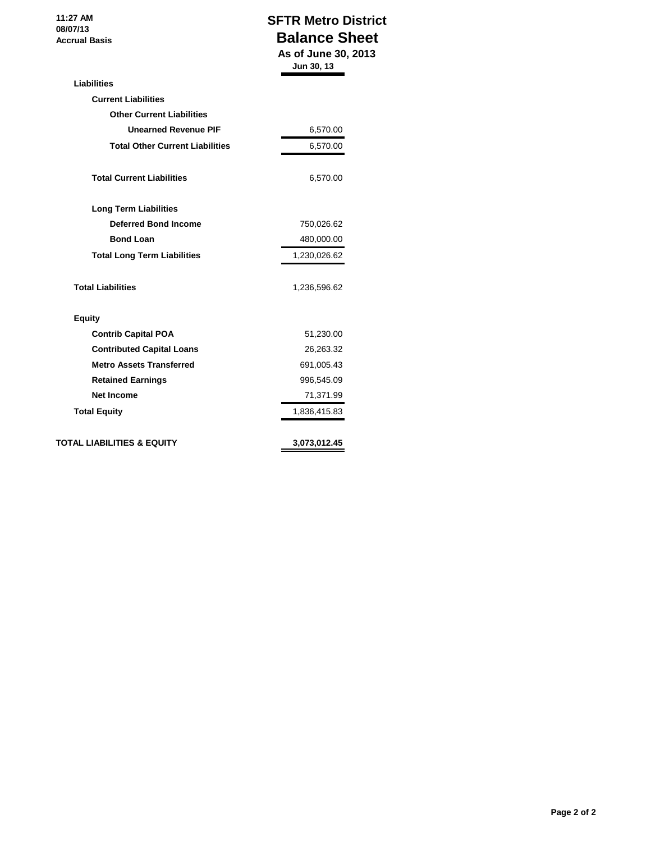**11:27 AM 08/07/13 Accrual Basis**

# **SFTR Metro District Balance Sheet As of June 30, 2013**

|                                        | Jun 30, 13   |
|----------------------------------------|--------------|
| <b>Liabilities</b>                     |              |
| <b>Current Liabilities</b>             |              |
| <b>Other Current Liabilities</b>       |              |
| <b>Unearned Revenue PIF</b>            | 6,570.00     |
| <b>Total Other Current Liabilities</b> | 6,570.00     |
| <b>Total Current Liabilities</b>       | 6,570.00     |
| <b>Long Term Liabilities</b>           |              |
| <b>Deferred Bond Income</b>            | 750,026.62   |
| <b>Bond Loan</b>                       | 480,000.00   |
| <b>Total Long Term Liabilities</b>     | 1,230,026.62 |
| <b>Total Liabilities</b>               | 1,236,596.62 |
| <b>Equity</b>                          |              |
| <b>Contrib Capital POA</b>             | 51,230.00    |
| <b>Contributed Capital Loans</b>       | 26,263.32    |
| <b>Metro Assets Transferred</b>        | 691,005.43   |
| <b>Retained Earnings</b>               | 996,545.09   |
|                                        | 71,371.99    |
| <b>Net Income</b>                      |              |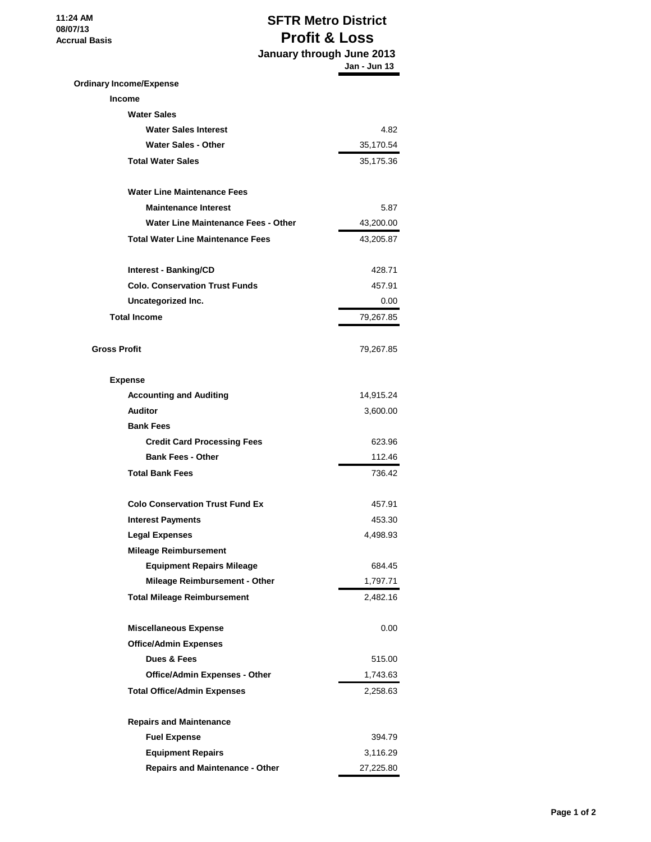**11:24 AM 08/07/13 Accrual Basis**

# **SFTR Metro District Profit & Loss January through June 2013**

|                                            | Jan - Jun 13 |
|--------------------------------------------|--------------|
| <b>Ordinary Income/Expense</b>             |              |
| <b>Income</b>                              |              |
| <b>Water Sales</b>                         |              |
| <b>Water Sales Interest</b>                | 4.82         |
| <b>Water Sales - Other</b>                 | 35,170.54    |
| <b>Total Water Sales</b>                   | 35,175.36    |
| <b>Water Line Maintenance Fees</b>         |              |
| <b>Maintenance Interest</b>                | 5.87         |
| <b>Water Line Maintenance Fees - Other</b> | 43,200.00    |
| <b>Total Water Line Maintenance Fees</b>   | 43,205.87    |
| Interest - Banking/CD                      | 428.71       |
| <b>Colo. Conservation Trust Funds</b>      | 457.91       |
| Uncategorized Inc.                         | 0.00         |
| <b>Total Income</b>                        | 79,267.85    |
|                                            |              |
| <b>Gross Profit</b>                        | 79,267.85    |
| <b>Expense</b>                             |              |
| <b>Accounting and Auditing</b>             | 14,915.24    |
| <b>Auditor</b>                             | 3,600.00     |
| <b>Bank Fees</b>                           |              |
| <b>Credit Card Processing Fees</b>         | 623.96       |
| <b>Bank Fees - Other</b>                   | 112.46       |
| <b>Total Bank Fees</b>                     | 736.42       |
| <b>Colo Conservation Trust Fund Ex</b>     | 457.91       |
| <b>Interest Payments</b>                   | 453.30       |
| <b>Legal Expenses</b>                      | 4,498.93     |
| <b>Mileage Reimbursement</b>               |              |
| <b>Equipment Repairs Mileage</b>           | 684.45       |
| <b>Mileage Reimbursement - Other</b>       | 1,797.71     |
| <b>Total Mileage Reimbursement</b>         | 2,482.16     |
| <b>Miscellaneous Expense</b>               | 0.00         |
| <b>Office/Admin Expenses</b>               |              |
| Dues & Fees                                | 515.00       |
| <b>Office/Admin Expenses - Other</b>       | 1,743.63     |
| <b>Total Office/Admin Expenses</b>         | 2,258.63     |
| <b>Repairs and Maintenance</b>             |              |
| <b>Fuel Expense</b>                        | 394.79       |
| <b>Equipment Repairs</b>                   | 3,116.29     |
| <b>Repairs and Maintenance - Other</b>     | 27,225.80    |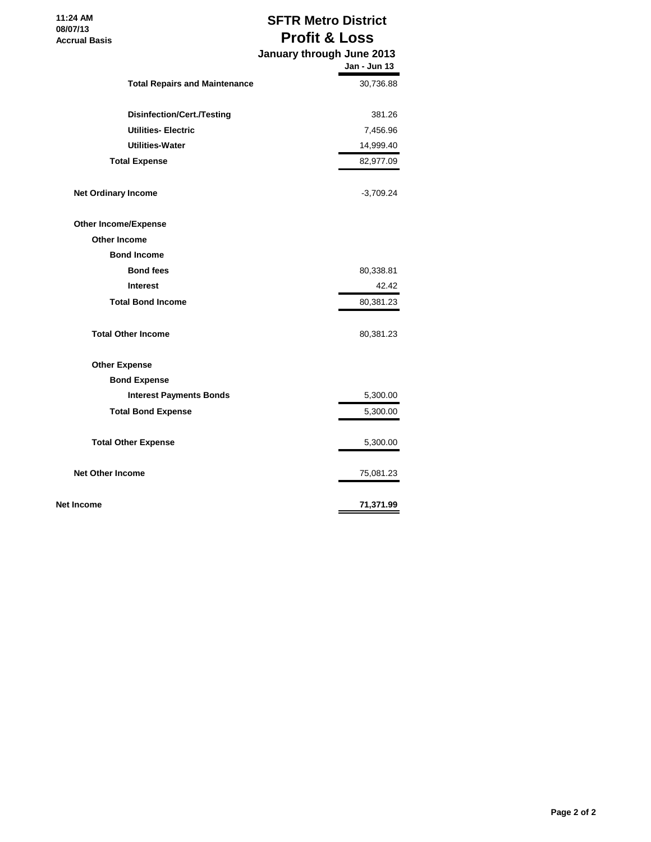| 11:24 AM             |  |
|----------------------|--|
| 08/07/13             |  |
| <b>Accrual Basis</b> |  |

# **SFTR Metro District Profit & Loss**

|                                      | January through June 2013<br>Jan - Jun 13 |
|--------------------------------------|-------------------------------------------|
| <b>Total Repairs and Maintenance</b> | 30,736.88                                 |
| Disinfection/Cert./Testing           | 381.26                                    |
| <b>Utilities-Electric</b>            | 7,456.96                                  |
| <b>Utilities-Water</b>               | 14,999.40                                 |
| <b>Total Expense</b>                 | 82,977.09                                 |
| <b>Net Ordinary Income</b>           | -3,709.24                                 |
| <b>Other Income/Expense</b>          |                                           |
| Other Income                         |                                           |
| <b>Bond Income</b>                   |                                           |
| <b>Bond fees</b>                     | 80,338.81                                 |
| <b>Interest</b>                      | 42.42                                     |
| <b>Total Bond Income</b>             | 80,381.23                                 |
| <b>Total Other Income</b>            | 80,381.23                                 |
| <b>Other Expense</b>                 |                                           |
| <b>Bond Expense</b>                  |                                           |
| <b>Interest Payments Bonds</b>       | 5,300.00                                  |
| <b>Total Bond Expense</b>            | 5,300.00                                  |
| <b>Total Other Expense</b>           | 5,300.00                                  |
| <b>Net Other Income</b>              | 75,081.23                                 |
| <b>Net Income</b>                    | 71,371.99                                 |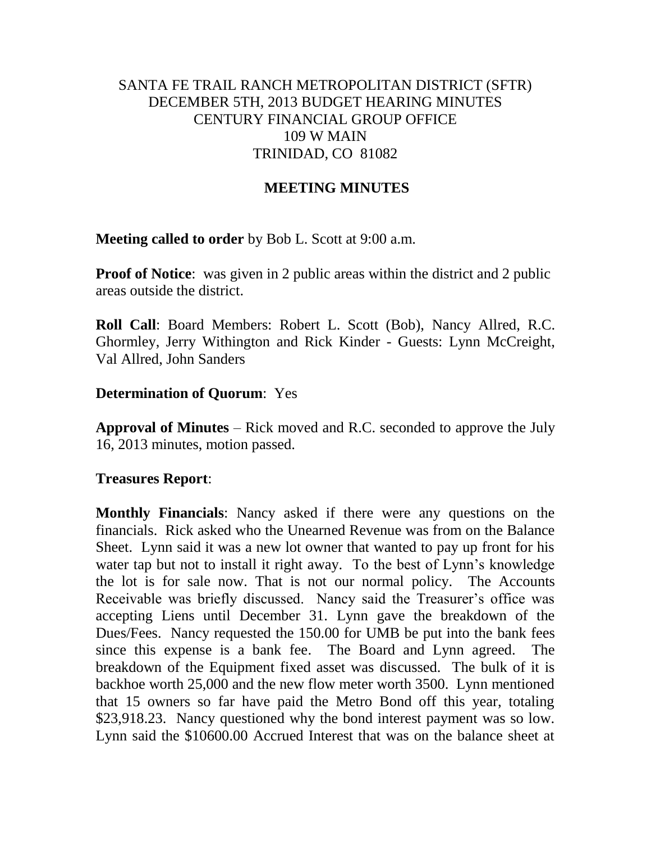# SANTA FE TRAIL RANCH METROPOLITAN DISTRICT (SFTR) DECEMBER 5TH, 2013 BUDGET HEARING MINUTES CENTURY FINANCIAL GROUP OFFICE 109 W MAIN TRINIDAD, CO 81082

# **MEETING MINUTES**

**Meeting called to order** by Bob L. Scott at 9:00 a.m.

**Proof of Notice**: was given in 2 public areas within the district and 2 public areas outside the district.

**Roll Call**: Board Members: Robert L. Scott (Bob), Nancy Allred, R.C. Ghormley, Jerry Withington and Rick Kinder - Guests: Lynn McCreight, Val Allred, John Sanders

#### **Determination of Quorum**: Yes

**Approval of Minutes** – Rick moved and R.C. seconded to approve the July 16, 2013 minutes, motion passed.

#### **Treasures Report**:

**Monthly Financials**: Nancy asked if there were any questions on the financials. Rick asked who the Unearned Revenue was from on the Balance Sheet. Lynn said it was a new lot owner that wanted to pay up front for his water tap but not to install it right away. To the best of Lynn's knowledge the lot is for sale now. That is not our normal policy. The Accounts Receivable was briefly discussed. Nancy said the Treasurer's office was accepting Liens until December 31. Lynn gave the breakdown of the Dues/Fees. Nancy requested the 150.00 for UMB be put into the bank fees since this expense is a bank fee. The Board and Lynn agreed. The breakdown of the Equipment fixed asset was discussed. The bulk of it is backhoe worth 25,000 and the new flow meter worth 3500. Lynn mentioned that 15 owners so far have paid the Metro Bond off this year, totaling \$23,918.23. Nancy questioned why the bond interest payment was so low. Lynn said the \$10600.00 Accrued Interest that was on the balance sheet at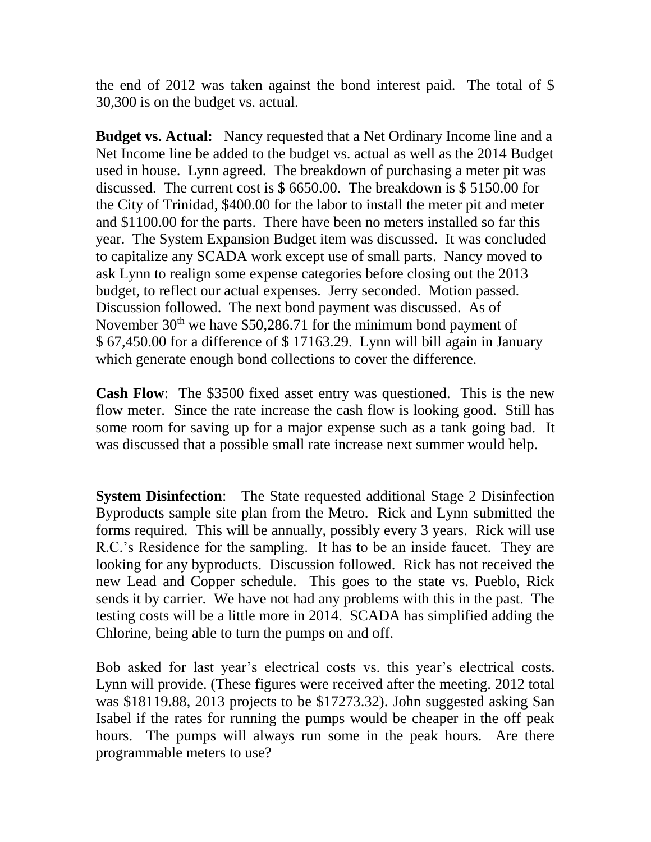the end of 2012 was taken against the bond interest paid. The total of \$ 30,300 is on the budget vs. actual.

**Budget vs. Actual:** Nancy requested that a Net Ordinary Income line and a Net Income line be added to the budget vs. actual as well as the 2014 Budget used in house. Lynn agreed. The breakdown of purchasing a meter pit was discussed. The current cost is \$ 6650.00. The breakdown is \$ 5150.00 for the City of Trinidad, \$400.00 for the labor to install the meter pit and meter and \$1100.00 for the parts. There have been no meters installed so far this year. The System Expansion Budget item was discussed. It was concluded to capitalize any SCADA work except use of small parts. Nancy moved to ask Lynn to realign some expense categories before closing out the 2013 budget, to reflect our actual expenses. Jerry seconded. Motion passed. Discussion followed. The next bond payment was discussed. As of November  $30<sup>th</sup>$  we have \$50,286.71 for the minimum bond payment of \$ 67,450.00 for a difference of \$ 17163.29. Lynn will bill again in January which generate enough bond collections to cover the difference.

**Cash Flow**: The \$3500 fixed asset entry was questioned. This is the new flow meter. Since the rate increase the cash flow is looking good. Still has some room for saving up for a major expense such as a tank going bad. It was discussed that a possible small rate increase next summer would help.

**System Disinfection**: The State requested additional Stage 2 Disinfection Byproducts sample site plan from the Metro. Rick and Lynn submitted the forms required. This will be annually, possibly every 3 years. Rick will use R.C.'s Residence for the sampling. It has to be an inside faucet. They are looking for any byproducts. Discussion followed. Rick has not received the new Lead and Copper schedule. This goes to the state vs. Pueblo, Rick sends it by carrier. We have not had any problems with this in the past. The testing costs will be a little more in 2014. SCADA has simplified adding the Chlorine, being able to turn the pumps on and off.

Bob asked for last year's electrical costs vs. this year's electrical costs. Lynn will provide. (These figures were received after the meeting. 2012 total was \$18119.88, 2013 projects to be \$17273.32). John suggested asking San Isabel if the rates for running the pumps would be cheaper in the off peak hours. The pumps will always run some in the peak hours. Are there programmable meters to use?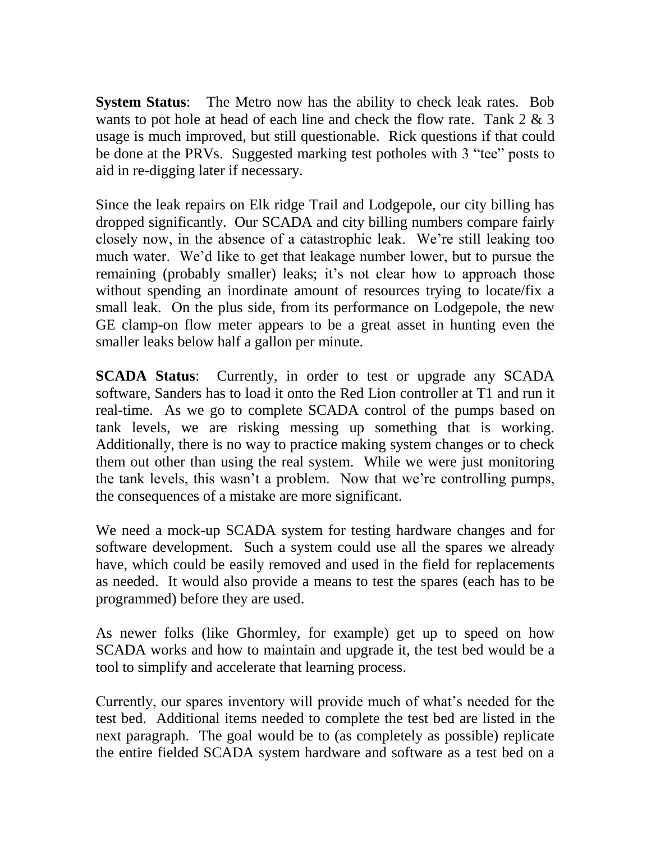**System Status**: The Metro now has the ability to check leak rates. Bob wants to pot hole at head of each line and check the flow rate. Tank 2 & 3 usage is much improved, but still questionable. Rick questions if that could be done at the PRVs. Suggested marking test potholes with 3 "tee" posts to aid in re-digging later if necessary.

Since the leak repairs on Elk ridge Trail and Lodgepole, our city billing has dropped significantly. Our SCADA and city billing numbers compare fairly closely now, in the absence of a catastrophic leak. We're still leaking too much water. We'd like to get that leakage number lower, but to pursue the remaining (probably smaller) leaks; it's not clear how to approach those without spending an inordinate amount of resources trying to locate/fix a small leak. On the plus side, from its performance on Lodgepole, the new GE clamp-on flow meter appears to be a great asset in hunting even the smaller leaks below half a gallon per minute.

**SCADA Status**: Currently, in order to test or upgrade any SCADA software, Sanders has to load it onto the Red Lion controller at T1 and run it real-time. As we go to complete SCADA control of the pumps based on tank levels, we are risking messing up something that is working. Additionally, there is no way to practice making system changes or to check them out other than using the real system. While we were just monitoring the tank levels, this wasn't a problem. Now that we're controlling pumps, the consequences of a mistake are more significant.

We need a mock-up SCADA system for testing hardware changes and for software development. Such a system could use all the spares we already have, which could be easily removed and used in the field for replacements as needed. It would also provide a means to test the spares (each has to be programmed) before they are used.

As newer folks (like Ghormley, for example) get up to speed on how SCADA works and how to maintain and upgrade it, the test bed would be a tool to simplify and accelerate that learning process.

Currently, our spares inventory will provide much of what's needed for the test bed. Additional items needed to complete the test bed are listed in the next paragraph. The goal would be to (as completely as possible) replicate the entire fielded SCADA system hardware and software as a test bed on a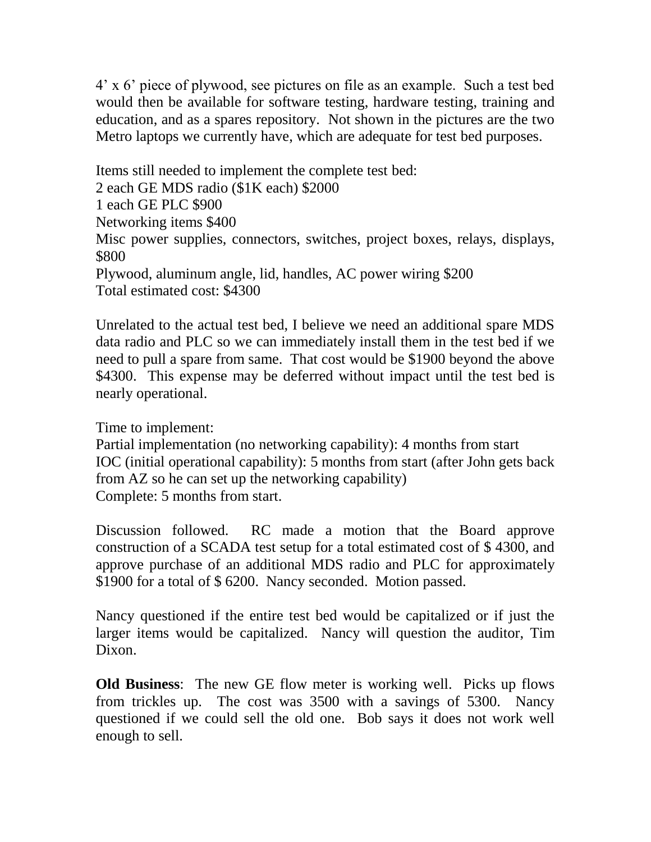4' x 6' piece of plywood, see pictures on file as an example. Such a test bed would then be available for software testing, hardware testing, training and education, and as a spares repository. Not shown in the pictures are the two Metro laptops we currently have, which are adequate for test bed purposes.

Items still needed to implement the complete test bed: 2 each GE MDS radio (\$1K each) \$2000 1 each GE PLC \$900 Networking items \$400 Misc power supplies, connectors, switches, project boxes, relays, displays, \$800 Plywood, aluminum angle, lid, handles, AC power wiring \$200 Total estimated cost: \$4300

Unrelated to the actual test bed, I believe we need an additional spare MDS data radio and PLC so we can immediately install them in the test bed if we need to pull a spare from same. That cost would be \$1900 beyond the above \$4300. This expense may be deferred without impact until the test bed is nearly operational.

Time to implement:

Partial implementation (no networking capability): 4 months from start IOC (initial operational capability): 5 months from start (after John gets back from AZ so he can set up the networking capability) Complete: 5 months from start.

Discussion followed. RC made a motion that the Board approve construction of a SCADA test setup for a total estimated cost of \$ 4300, and approve purchase of an additional MDS radio and PLC for approximately \$1900 for a total of \$ 6200. Nancy seconded. Motion passed.

Nancy questioned if the entire test bed would be capitalized or if just the larger items would be capitalized. Nancy will question the auditor, Tim Dixon.

**Old Business**: The new GE flow meter is working well. Picks up flows from trickles up. The cost was 3500 with a savings of 5300. Nancy questioned if we could sell the old one. Bob says it does not work well enough to sell.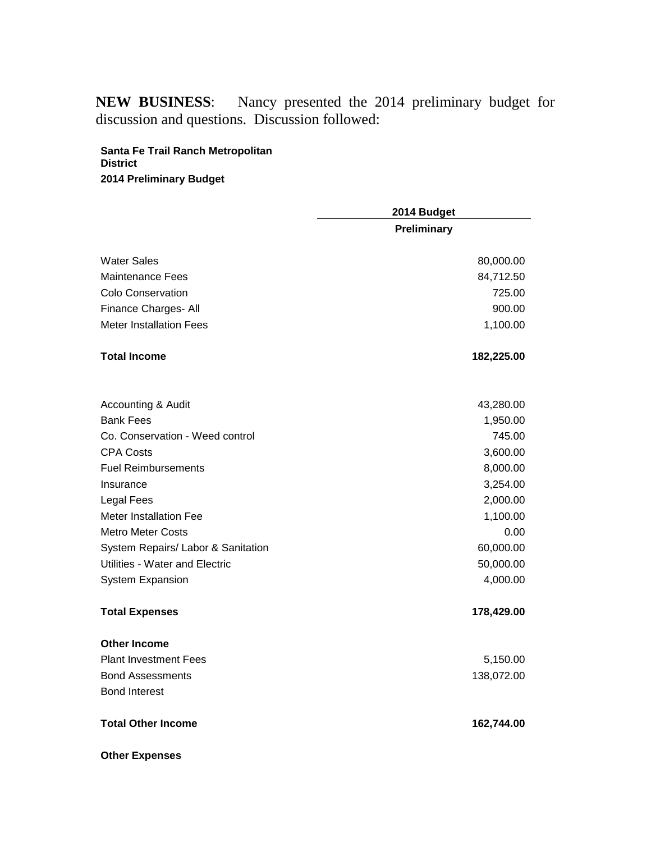**NEW BUSINESS**: Nancy presented the 2014 preliminary budget for discussion and questions. Discussion followed:

#### **Santa Fe Trail Ranch Metropolitan District 2014 Preliminary Budget**

|                                    | 2014 Budget        |  |
|------------------------------------|--------------------|--|
|                                    | <b>Preliminary</b> |  |
| <b>Water Sales</b>                 | 80,000.00          |  |
| Maintenance Fees                   | 84,712.50          |  |
| Colo Conservation                  | 725.00             |  |
| Finance Charges- All               | 900.00             |  |
| <b>Meter Installation Fees</b>     | 1,100.00           |  |
| <b>Total Income</b>                | 182,225.00         |  |
| Accounting & Audit                 | 43,280.00          |  |
| <b>Bank Fees</b>                   | 1,950.00           |  |
| Co. Conservation - Weed control    | 745.00             |  |
| <b>CPA Costs</b>                   | 3,600.00           |  |
| <b>Fuel Reimbursements</b>         | 8,000.00           |  |
| Insurance                          | 3,254.00           |  |
| <b>Legal Fees</b>                  | 2,000.00           |  |
| <b>Meter Installation Fee</b>      | 1,100.00           |  |
| <b>Metro Meter Costs</b>           | 0.00               |  |
| System Repairs/ Labor & Sanitation | 60,000.00          |  |
| Utilities - Water and Electric     | 50,000.00          |  |
| <b>System Expansion</b>            | 4,000.00           |  |
| <b>Total Expenses</b>              | 178,429.00         |  |
| <b>Other Income</b>                |                    |  |
| <b>Plant Investment Fees</b>       | 5,150.00           |  |
| <b>Bond Assessments</b>            | 138,072.00         |  |
| <b>Bond Interest</b>               |                    |  |
| <b>Total Other Income</b>          | 162,744.00         |  |
| <b>Other Expenses</b>              |                    |  |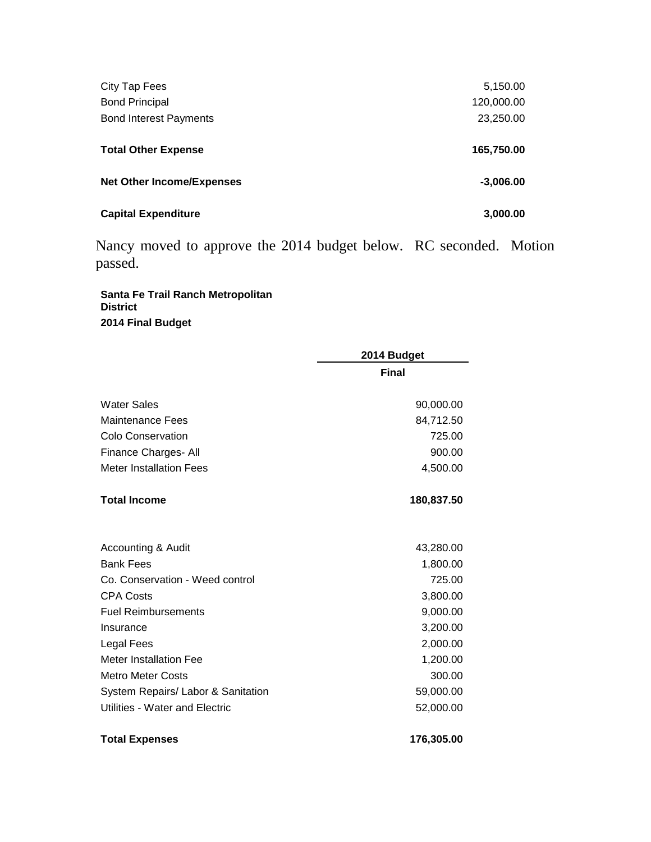| City Tap Fees                    | 5,150.00    |
|----------------------------------|-------------|
| <b>Bond Principal</b>            | 120,000.00  |
| <b>Bond Interest Payments</b>    | 23,250.00   |
|                                  |             |
| <b>Total Other Expense</b>       | 165,750.00  |
|                                  |             |
| <b>Net Other Income/Expenses</b> | $-3,006.00$ |
|                                  |             |
| <b>Capital Expenditure</b>       | 3,000.00    |

Nancy moved to approve the 2014 budget below. RC seconded. Motion passed.

**Santa Fe Trail Ranch Metropolitan District 2014 Final Budget** 

|                                    | 2014 Budget  |
|------------------------------------|--------------|
|                                    | <b>Final</b> |
| <b>Water Sales</b>                 | 90,000.00    |
| <b>Maintenance Fees</b>            | 84,712.50    |
| <b>Colo Conservation</b>           | 725.00       |
| Finance Charges- All               | 900.00       |
| <b>Meter Installation Fees</b>     | 4,500.00     |
| <b>Total Income</b>                | 180,837.50   |
| Accounting & Audit                 | 43,280.00    |
| <b>Bank Fees</b>                   | 1,800.00     |
| Co. Conservation - Weed control    | 725.00       |
| <b>CPA Costs</b>                   | 3,800.00     |
| <b>Fuel Reimbursements</b>         | 9,000.00     |
| Insurance                          | 3,200.00     |
| Legal Fees                         | 2,000.00     |
| <b>Meter Installation Fee</b>      | 1,200.00     |
| <b>Metro Meter Costs</b>           | 300.00       |
| System Repairs/ Labor & Sanitation | 59,000.00    |
| Utilities - Water and Electric     | 52,000.00    |
| <b>Total Expenses</b>              | 176,305.00   |